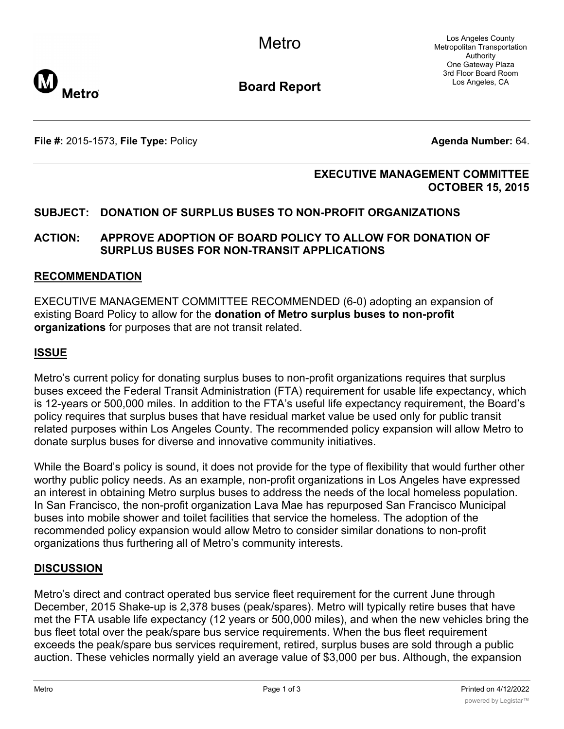Los Angeles County Metropolitan Transportation Authority One Gateway Plaza 3rd Floor Board Room Los Angeles, CA



**Board Report**

**File #:** 2015-1573, File Type: Policy **Agenda Number:** 64.

#### **EXECUTIVE MANAGEMENT COMMITTEE OCTOBER 15, 2015**

# **SUBJECT: DONATION OF SURPLUS BUSES TO NON-PROFIT ORGANIZATIONS**

### **ACTION: APPROVE ADOPTION OF BOARD POLICY TO ALLOW FOR DONATION OF SURPLUS BUSES FOR NON-TRANSIT APPLICATIONS**

#### **RECOMMENDATION**

EXECUTIVE MANAGEMENT COMMITTEE RECOMMENDED (6-0) adopting an expansion of existing Board Policy to allow for the **donation of Metro surplus buses to non-profit organizations** for purposes that are not transit related.

### **ISSUE**

Metro's current policy for donating surplus buses to non-profit organizations requires that surplus buses exceed the Federal Transit Administration (FTA) requirement for usable life expectancy, which is 12-years or 500,000 miles. In addition to the FTA's useful life expectancy requirement, the Board's policy requires that surplus buses that have residual market value be used only for public transit related purposes within Los Angeles County. The recommended policy expansion will allow Metro to donate surplus buses for diverse and innovative community initiatives.

While the Board's policy is sound, it does not provide for the type of flexibility that would further other worthy public policy needs. As an example, non-profit organizations in Los Angeles have expressed an interest in obtaining Metro surplus buses to address the needs of the local homeless population. In San Francisco, the non-profit organization Lava Mae has repurposed San Francisco Municipal buses into mobile shower and toilet facilities that service the homeless. The adoption of the recommended policy expansion would allow Metro to consider similar donations to non-profit organizations thus furthering all of Metro's community interests.

## **DISCUSSION**

Metro's direct and contract operated bus service fleet requirement for the current June through December, 2015 Shake-up is 2,378 buses (peak/spares). Metro will typically retire buses that have met the FTA usable life expectancy (12 years or 500,000 miles), and when the new vehicles bring the bus fleet total over the peak/spare bus service requirements. When the bus fleet requirement exceeds the peak/spare bus services requirement, retired, surplus buses are sold through a public auction. These vehicles normally yield an average value of \$3,000 per bus. Although, the expansion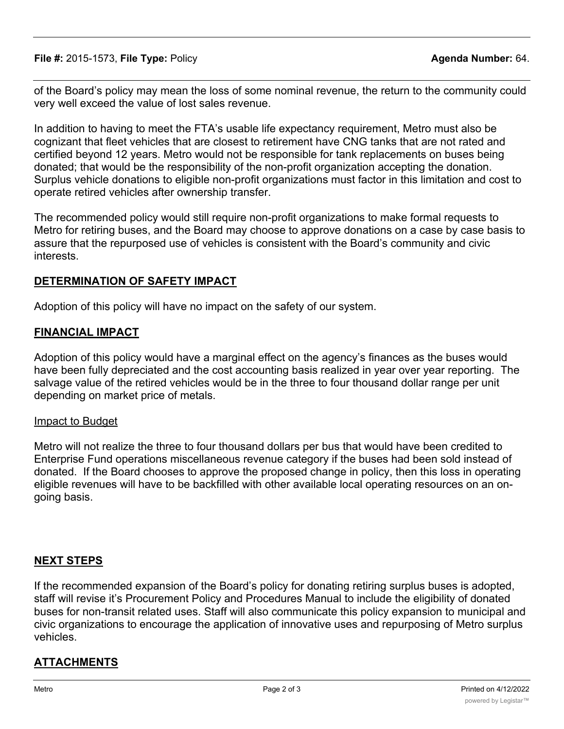**File #:** 2015-1573, **File Type:** Policy **Agenda Number:** 64.

of the Board's policy may mean the loss of some nominal revenue, the return to the community could very well exceed the value of lost sales revenue.

In addition to having to meet the FTA's usable life expectancy requirement, Metro must also be cognizant that fleet vehicles that are closest to retirement have CNG tanks that are not rated and certified beyond 12 years. Metro would not be responsible for tank replacements on buses being donated; that would be the responsibility of the non-profit organization accepting the donation. Surplus vehicle donations to eligible non-profit organizations must factor in this limitation and cost to operate retired vehicles after ownership transfer.

The recommended policy would still require non-profit organizations to make formal requests to Metro for retiring buses, and the Board may choose to approve donations on a case by case basis to assure that the repurposed use of vehicles is consistent with the Board's community and civic interests.

#### **DETERMINATION OF SAFETY IMPACT**

Adoption of this policy will have no impact on the safety of our system.

#### **FINANCIAL IMPACT**

Adoption of this policy would have a marginal effect on the agency's finances as the buses would have been fully depreciated and the cost accounting basis realized in year over year reporting. The salvage value of the retired vehicles would be in the three to four thousand dollar range per unit depending on market price of metals.

#### Impact to Budget

Metro will not realize the three to four thousand dollars per bus that would have been credited to Enterprise Fund operations miscellaneous revenue category if the buses had been sold instead of donated. If the Board chooses to approve the proposed change in policy, then this loss in operating eligible revenues will have to be backfilled with other available local operating resources on an ongoing basis.

## **NEXT STEPS**

If the recommended expansion of the Board's policy for donating retiring surplus buses is adopted, staff will revise it's Procurement Policy and Procedures Manual to include the eligibility of donated buses for non-transit related uses. Staff will also communicate this policy expansion to municipal and civic organizations to encourage the application of innovative uses and repurposing of Metro surplus vehicles.

## **ATTACHMENTS**